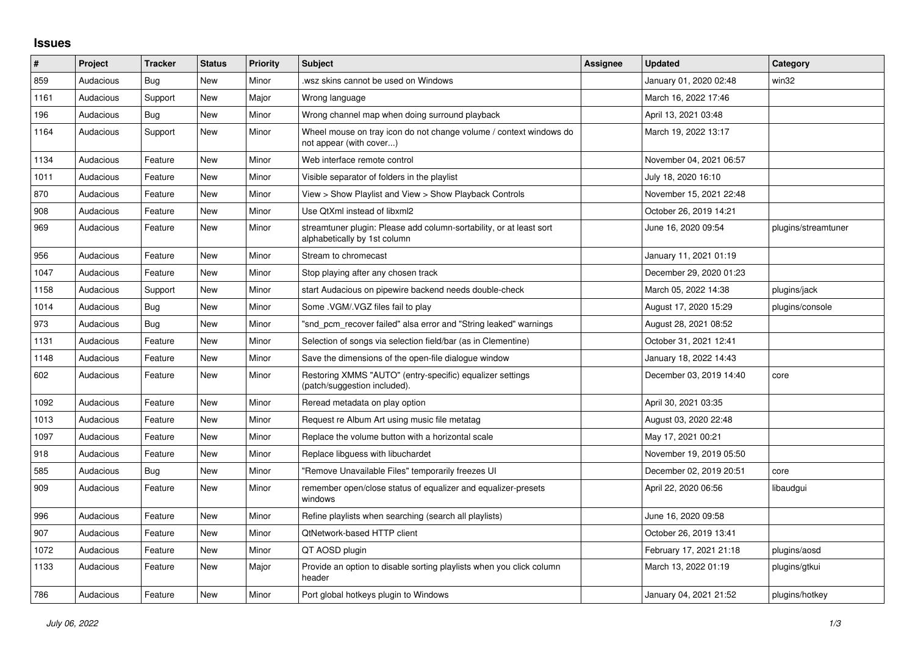## **Issues**

| #    | Project   | <b>Tracker</b> | <b>Status</b> | <b>Priority</b> | <b>Subject</b>                                                                                      | <b>Assignee</b> | <b>Updated</b>          | Category            |
|------|-----------|----------------|---------------|-----------------|-----------------------------------------------------------------------------------------------------|-----------------|-------------------------|---------------------|
| 859  | Audacious | Bug            | <b>New</b>    | Minor           | wsz skins cannot be used on Windows                                                                 |                 | January 01, 2020 02:48  | win32               |
| 1161 | Audacious | Support        | New           | Major           | Wrong language                                                                                      |                 | March 16, 2022 17:46    |                     |
| 196  | Audacious | Bug            | New           | Minor           | Wrong channel map when doing surround playback                                                      |                 | April 13, 2021 03:48    |                     |
| 1164 | Audacious | Support        | New           | Minor           | Wheel mouse on tray icon do not change volume / context windows do<br>not appear (with cover)       |                 | March 19, 2022 13:17    |                     |
| 1134 | Audacious | Feature        | New           | Minor           | Web interface remote control                                                                        |                 | November 04, 2021 06:57 |                     |
| 1011 | Audacious | Feature        | New           | Minor           | Visible separator of folders in the playlist                                                        |                 | July 18, 2020 16:10     |                     |
| 870  | Audacious | Feature        | New           | Minor           | View > Show Playlist and View > Show Playback Controls                                              |                 | November 15, 2021 22:48 |                     |
| 908  | Audacious | Feature        | New           | Minor           | Use QtXml instead of libxml2                                                                        |                 | October 26, 2019 14:21  |                     |
| 969  | Audacious | Feature        | <b>New</b>    | Minor           | streamtuner plugin: Please add column-sortability, or at least sort<br>alphabetically by 1st column |                 | June 16, 2020 09:54     | plugins/streamtuner |
| 956  | Audacious | Feature        | <b>New</b>    | Minor           | Stream to chromecast                                                                                |                 | January 11, 2021 01:19  |                     |
| 1047 | Audacious | Feature        | New           | Minor           | Stop playing after any chosen track                                                                 |                 | December 29, 2020 01:23 |                     |
| 1158 | Audacious | Support        | New           | Minor           | start Audacious on pipewire backend needs double-check                                              |                 | March 05, 2022 14:38    | plugins/jack        |
| 1014 | Audacious | Bug            | New           | Minor           | Some .VGM/.VGZ files fail to play                                                                   |                 | August 17, 2020 15:29   | plugins/console     |
| 973  | Audacious | Bug            | New           | Minor           | "snd pcm recover failed" alsa error and "String leaked" warnings                                    |                 | August 28, 2021 08:52   |                     |
| 1131 | Audacious | Feature        | New           | Minor           | Selection of songs via selection field/bar (as in Clementine)                                       |                 | October 31, 2021 12:41  |                     |
| 1148 | Audacious | Feature        | New           | Minor           | Save the dimensions of the open-file dialogue window                                                |                 | January 18, 2022 14:43  |                     |
| 602  | Audacious | Feature        | New           | Minor           | Restoring XMMS "AUTO" (entry-specific) equalizer settings<br>(patch/suggestion included).           |                 | December 03, 2019 14:40 | core                |
| 1092 | Audacious | Feature        | New           | Minor           | Reread metadata on play option                                                                      |                 | April 30, 2021 03:35    |                     |
| 1013 | Audacious | Feature        | New           | Minor           | Request re Album Art using music file metatag                                                       |                 | August 03, 2020 22:48   |                     |
| 1097 | Audacious | Feature        | New           | Minor           | Replace the volume button with a horizontal scale                                                   |                 | May 17, 2021 00:21      |                     |
| 918  | Audacious | Feature        | New           | Minor           | Replace libguess with libuchardet                                                                   |                 | November 19, 2019 05:50 |                     |
| 585  | Audacious | Bug            | New           | Minor           | "Remove Unavailable Files" temporarily freezes UI                                                   |                 | December 02, 2019 20:51 | core                |
| 909  | Audacious | Feature        | New           | Minor           | remember open/close status of equalizer and equalizer-presets<br>windows                            |                 | April 22, 2020 06:56    | libaudgui           |
| 996  | Audacious | Feature        | New           | Minor           | Refine playlists when searching (search all playlists)                                              |                 | June 16, 2020 09:58     |                     |
| 907  | Audacious | Feature        | <b>New</b>    | Minor           | <b>QtNetwork-based HTTP client</b>                                                                  |                 | October 26, 2019 13:41  |                     |
| 1072 | Audacious | Feature        | New           | Minor           | QT AOSD plugin                                                                                      |                 | February 17, 2021 21:18 | plugins/aosd        |
| 1133 | Audacious | Feature        | New           | Major           | Provide an option to disable sorting playlists when you click column<br>header                      |                 | March 13, 2022 01:19    | plugins/gtkui       |
| 786  | Audacious | Feature        | <b>New</b>    | Minor           | Port global hotkeys plugin to Windows                                                               |                 | January 04, 2021 21:52  | plugins/hotkey      |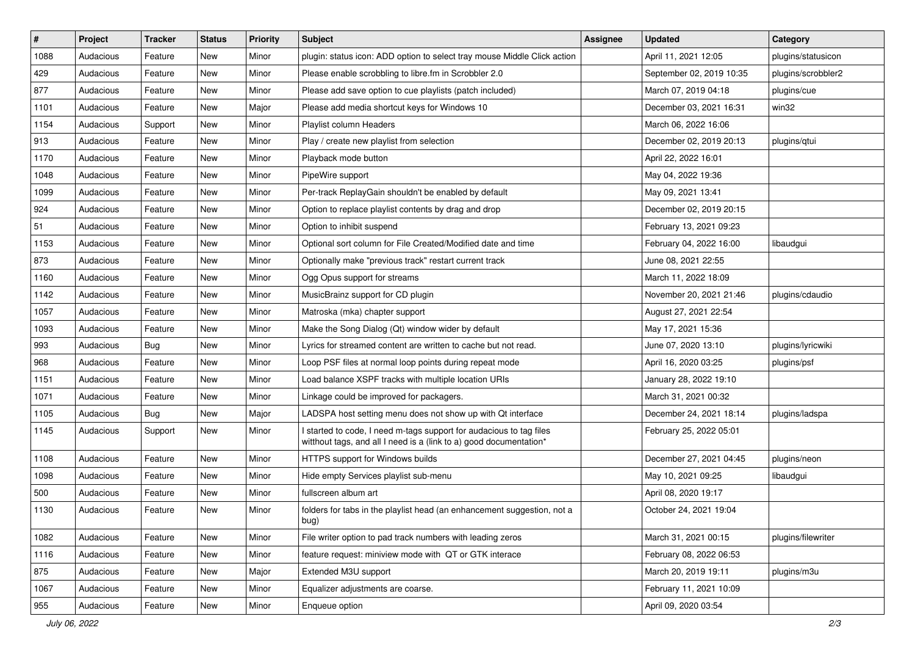| $\vert$ # | Project   | <b>Tracker</b> | <b>Status</b> | <b>Priority</b> | <b>Subject</b>                                                                                                                            | <b>Assignee</b> | <b>Updated</b>           | Category           |
|-----------|-----------|----------------|---------------|-----------------|-------------------------------------------------------------------------------------------------------------------------------------------|-----------------|--------------------------|--------------------|
| 1088      | Audacious | Feature        | New           | Minor           | plugin: status icon: ADD option to select tray mouse Middle Click action                                                                  |                 | April 11, 2021 12:05     | plugins/statusicon |
| 429       | Audacious | Feature        | <b>New</b>    | Minor           | Please enable scrobbling to libre.fm in Scrobbler 2.0                                                                                     |                 | September 02, 2019 10:35 | plugins/scrobbler2 |
| 877       | Audacious | Feature        | New           | Minor           | Please add save option to cue playlists (patch included)                                                                                  |                 | March 07, 2019 04:18     | plugins/cue        |
| 1101      | Audacious | Feature        | New           | Major           | Please add media shortcut keys for Windows 10                                                                                             |                 | December 03, 2021 16:31  | win32              |
| 1154      | Audacious | Support        | <b>New</b>    | Minor           | Playlist column Headers                                                                                                                   |                 | March 06, 2022 16:06     |                    |
| 913       | Audacious | Feature        | New           | Minor           | Play / create new playlist from selection                                                                                                 |                 | December 02, 2019 20:13  | plugins/qtui       |
| 1170      | Audacious | Feature        | New           | Minor           | Playback mode button                                                                                                                      |                 | April 22, 2022 16:01     |                    |
| 1048      | Audacious | Feature        | New           | Minor           | PipeWire support                                                                                                                          |                 | May 04, 2022 19:36       |                    |
| 1099      | Audacious | Feature        | New           | Minor           | Per-track ReplayGain shouldn't be enabled by default                                                                                      |                 | May 09, 2021 13:41       |                    |
| 924       | Audacious | Feature        | <b>New</b>    | Minor           | Option to replace playlist contents by drag and drop                                                                                      |                 | December 02, 2019 20:15  |                    |
| 51        | Audacious | Feature        | New           | Minor           | Option to inhibit suspend                                                                                                                 |                 | February 13, 2021 09:23  |                    |
| 1153      | Audacious | Feature        | New           | Minor           | Optional sort column for File Created/Modified date and time                                                                              |                 | February 04, 2022 16:00  | libaudgui          |
| 873       | Audacious | Feature        | New           | Minor           | Optionally make "previous track" restart current track                                                                                    |                 | June 08, 2021 22:55      |                    |
| 1160      | Audacious | Feature        | New           | Minor           | Ogg Opus support for streams                                                                                                              |                 | March 11, 2022 18:09     |                    |
| 1142      | Audacious | Feature        | <b>New</b>    | Minor           | MusicBrainz support for CD plugin                                                                                                         |                 | November 20, 2021 21:46  | plugins/cdaudio    |
| 1057      | Audacious | Feature        | New           | Minor           | Matroska (mka) chapter support                                                                                                            |                 | August 27, 2021 22:54    |                    |
| 1093      | Audacious | Feature        | New           | Minor           | Make the Song Dialog (Qt) window wider by default                                                                                         |                 | May 17, 2021 15:36       |                    |
| 993       | Audacious | <b>Bug</b>     | <b>New</b>    | Minor           | Lyrics for streamed content are written to cache but not read.                                                                            |                 | June 07, 2020 13:10      | plugins/lyricwiki  |
| 968       | Audacious | Feature        | New           | Minor           | Loop PSF files at normal loop points during repeat mode                                                                                   |                 | April 16, 2020 03:25     | plugins/psf        |
| 1151      | Audacious | Feature        | <b>New</b>    | Minor           | Load balance XSPF tracks with multiple location URIs                                                                                      |                 | January 28, 2022 19:10   |                    |
| 1071      | Audacious | Feature        | New           | Minor           | Linkage could be improved for packagers.                                                                                                  |                 | March 31, 2021 00:32     |                    |
| 1105      | Audacious | <b>Bug</b>     | <b>New</b>    | Major           | LADSPA host setting menu does not show up with Qt interface                                                                               |                 | December 24, 2021 18:14  | plugins/ladspa     |
| 1145      | Audacious | Support        | New           | Minor           | I started to code, I need m-tags support for audacious to tag files<br>witthout tags, and all I need is a (link to a) good documentation* |                 | February 25, 2022 05:01  |                    |
| 1108      | Audacious | Feature        | New           | Minor           | HTTPS support for Windows builds                                                                                                          |                 | December 27, 2021 04:45  | plugins/neon       |
| 1098      | Audacious | Feature        | New           | Minor           | Hide empty Services playlist sub-menu                                                                                                     |                 | May 10, 2021 09:25       | libaudgui          |
| 500       | Audacious | Feature        | New           | Minor           | fullscreen album art                                                                                                                      |                 | April 08, 2020 19:17     |                    |
| 1130      | Audacious | Feature        | New           | Minor           | folders for tabs in the playlist head (an enhancement suggestion, not a<br>bug)                                                           |                 | October 24, 2021 19:04   |                    |
| 1082      | Audacious | Feature        | New           | Minor           | File writer option to pad track numbers with leading zeros                                                                                |                 | March 31, 2021 00:15     | plugins/filewriter |
| 1116      | Audacious | Feature        | New           | Minor           | feature request: miniview mode with QT or GTK interace                                                                                    |                 | February 08, 2022 06:53  |                    |
| 875       | Audacious | Feature        | New           | Major           | Extended M3U support                                                                                                                      |                 | March 20, 2019 19:11     | plugins/m3u        |
| 1067      | Audacious | Feature        | New           | Minor           | Equalizer adjustments are coarse.                                                                                                         |                 | February 11, 2021 10:09  |                    |
| 955       | Audacious | Feature        | New           | Minor           | Enqueue option                                                                                                                            |                 | April 09, 2020 03:54     |                    |